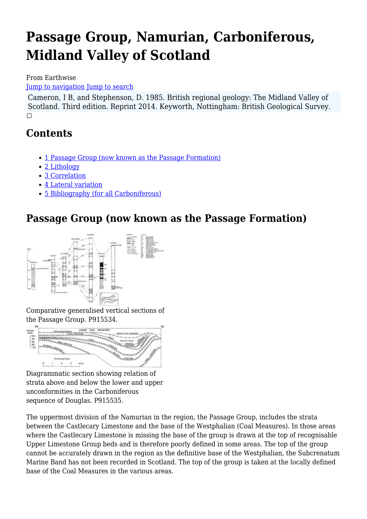# **Passage Group, Namurian, Carboniferous, Midland Valley of Scotland**

From Earthwise

[Jump to navigation](#page--1-0) [Jump to search](#page--1-0)

Cameron, I B, and Stephenson, D. 1985. British regional geology: The Midland Valley of Scotland. Third edition. Reprint 2014. Keyworth, Nottingham: British Geological Survey.  $\Box$ 

# **Contents**

- [1](#Passage_Group_.28now_known_as_the_Passage_Formation.29) [Passage Group \(now known as the Passage Formation\)](#Passage_Group_.28now_known_as_the_Passage_Formation.29)
- [2](#page--1-0) [Lithology](#page--1-0)
- [3](#page--1-0) [Correlation](#page--1-0)
- [4](#page--1-0) [Lateral variation](#page--1-0)
- [5](#Bibliography_.28for_all_Carboniferous.29) [Bibliography \(for all Carboniferous\)](#Bibliography_.28for_all_Carboniferous.29)

# **Passage Group (now known as the Passage Formation)**



Comparative generalised vertical sections of the Passage Group. P915534.



Diagrammatic section showing relation of strata above and below the lower and upper unconformities in the Carboniferous sequence of Douglas. P915535.

The uppermost division of the Namurian in the region, the Passage Group, includes the strata between the Castlecary Limestone and the base of the Westphalian (Coal Measures). In those areas where the Castlecary Limestone is missing the base of the group is drawn at the top of recognisable Upper Limestone Group beds and is therefore poorly defined in some areas. The top of the group cannot be accurately drawn in the region as the definitive base of the Westphalian, the Subcrenatum Marine Band has not been recorded in Scotland. The top of the group is taken at the locally defined base of the Coal Measures in the various areas.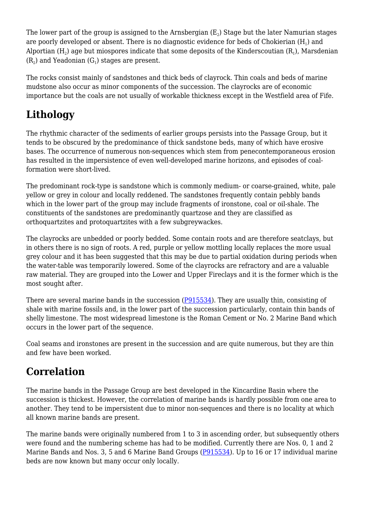The lower part of the group is assigned to the Arnsbergian (E $_{2}$ ) Stage but the later Namurian stages are poorly developed or absent. There is no diagnostic evidence for beds of Chokierian (H $_{\rm l}$ ) and Alportian (H $_{\rm 2}$ ) age but miospores indicate that some deposits of the Kinderscoutian (R $_{\rm 1}$ ), Marsdenian  $(R_2)$  and Yeadonian  $(G_1)$  stages are present.

The rocks consist mainly of sandstones and thick beds of clayrock. Thin coals and beds of marine mudstone also occur as minor components of the succession. The clayrocks are of economic importance but the coals are not usually of workable thickness except in the Westfield area of Fife.

# **Lithology**

The rhythmic character of the sediments of earlier groups persists into the Passage Group, but it tends to be obscured by the predominance of thick sandstone beds, many of which have erosive bases. The occurrence of numerous non-sequences which stem from penecontemporaneous erosion has resulted in the impersistence of even well-developed marine horizons, and episodes of coalformation were short-lived.

The predominant rock-type is sandstone which is commonly medium- or coarse-grained, white, pale yellow or grey in colour and locally reddened. The sandstones frequently contain pebbly bands which in the lower part of the group may include fragments of ironstone, coal or oil-shale. The constituents of the sandstones are predominantly quartzose and they are classified as orthoquartzites and protoquartzites with a few subgreywackes.

The clayrocks are unbedded or poorly bedded. Some contain roots and are therefore seatclays, but in others there is no sign of roots. A red, purple or yellow mottling locally replaces the more usual grey colour and it has been suggested that this may be due to partial oxidation during periods when the water-table was temporarily lowered. Some of the clayrocks are refractory and are a valuable raw material. They are grouped into the Lower and Upper Fireclays and it is the former which is the most sought after.

There are several marine bands in the succession ([P915534](http://earthwise.bgs.ac.uk/images/f/f6/P915534.jpg)). They are usually thin, consisting of shale with marine fossils and, in the lower part of the succession particularly, contain thin bands of shelly limestone. The most widespread limestone is the Roman Cement or No. 2 Marine Band which occurs in the lower part of the sequence.

Coal seams and ironstones are present in the succession and are quite numerous, but they are thin and few have been worked.

# **Correlation**

The marine bands in the Passage Group are best developed in the Kincardine Basin where the succession is thickest. However, the correlation of marine bands is hardly possible from one area to another. They tend to be impersistent due to minor non-sequences and there is no locality at which all known marine bands are present.

The marine bands were originally numbered from 1 to 3 in ascending order, but subsequently others were found and the numbering scheme has had to be modified. Currently there are Nos. 0, 1 and 2 Marine Bands and Nos. 3, 5 and 6 Marine Band Groups ([P915534](http://earthwise.bgs.ac.uk/images/f/f6/P915534.jpg)). Up to 16 or 17 individual marine beds are now known but many occur only locally.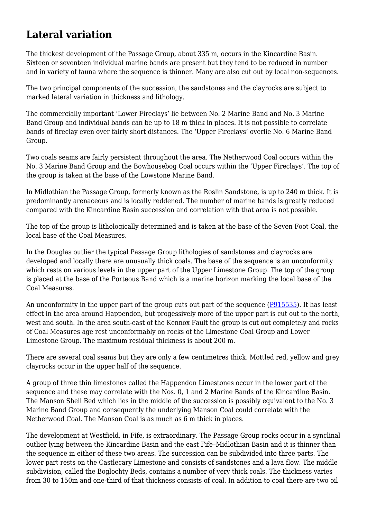## **Lateral variation**

The thickest development of the Passage Group, about 335 m, occurs in the Kincardine Basin. Sixteen or seventeen individual marine bands are present but they tend to be reduced in number and in variety of fauna where the sequence is thinner. Many are also cut out by local non-sequences.

The two principal components of the succession, the sandstones and the clayrocks are subject to marked lateral variation in thickness and lithology.

The commercially important 'Lower Fireclays' lie between No. 2 Marine Band and No. 3 Marine Band Group and individual bands can be up to 18 m thick in places. It is not possible to correlate bands of fireclay even over fairly short distances. The 'Upper Fireclays' overlie No. 6 Marine Band Group.

Two coals seams are fairly persistent throughout the area. The Netherwood Coal occurs within the No. 3 Marine Band Group and the Bowhousebog Coal occurs within the 'Upper Fireclays'. The top of the group is taken at the base of the Lowstone Marine Band.

In Midlothian the Passage Group, formerly known as the Roslin Sandstone, is up to 240 m thick. It is predominantly arenaceous and is locally reddened. The number of marine bands is greatly reduced compared with the Kincardine Basin succession and correlation with that area is not possible.

The top of the group is lithologically determined and is taken at the base of the Seven Foot Coal, the local base of the Coal Measures.

In the Douglas outlier the typical Passage Group lithologies of sandstones and clayrocks are developed and locally there are unusually thick coals. The base of the sequence is an unconformity which rests on various levels in the upper part of the Upper Limestone Group. The top of the group is placed at the base of the Porteous Band which is a marine horizon marking the local base of the Coal Measures.

An unconformity in the upper part of the group cuts out part of the sequence [\(P915535\)](http://earthwise.bgs.ac.uk/images/5/5f/P915535.jpg). It has least effect in the area around Happendon, but progessively more of the upper part is cut out to the north, west and south. In the area south-east of the Kennox Fault the group is cut out completely and rocks of Coal Measures age rest unconformably on rocks of the Limestone Coal Group and Lower Limestone Group. The maximum residual thickness is about 200 m.

There are several coal seams but they are only a few centimetres thick. Mottled red, yellow and grey clayrocks occur in the upper half of the sequence.

A group of three thin limestones called the Happendon Limestones occur in the lower part of the sequence and these may correlate with the Nos. 0, 1 and 2 Marine Bands of the Kincardine Basin. The Manson Shell Bed which lies in the middle of the succession is possibly equivalent to the No. 3 Marine Band Group and consequently the underlying Manson Coal could correlate with the Netherwood Coal. The Manson Coal is as much as 6 m thick in places.

The development at Westfield, in Fife, is extraordinary. The Passage Group rocks occur in a synclinal outlier lying between the Kincardine Basin and the east Fife–Midlothian Basin and it is thinner than the sequence in either of these two areas. The succession can be subdivided into three parts. The lower part rests on the Castlecary Limestone and consists of sandstones and a lava flow. The middle subdivision, called the Boglochty Beds, contains a number of very thick coals. The thickness varies from 30 to 150m and one-third of that thickness consists of coal. In addition to coal there are two oil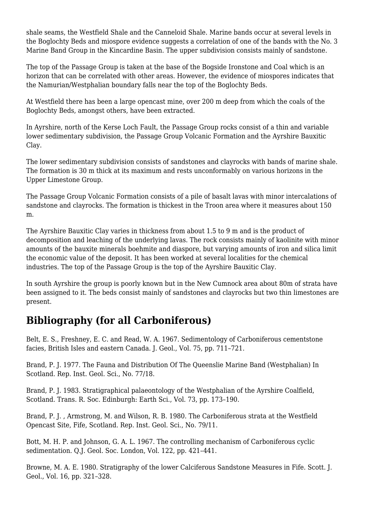shale seams, the Westfield Shale and the Canneloid Shale. Marine bands occur at several levels in the Boglochty Beds and miospore evidence suggests a correlation of one of the bands with the No. 3 Marine Band Group in the Kincardine Basin. The upper subdivision consists mainly of sandstone.

The top of the Passage Group is taken at the base of the Bogside Ironstone and Coal which is an horizon that can be correlated with other areas. However, the evidence of miospores indicates that the Namurian/Westphalian boundary falls near the top of the Boglochty Beds.

At Westfield there has been a large opencast mine, over 200 m deep from which the coals of the Boglochty Beds, amongst others, have been extracted.

In Ayrshire, north of the Kerse Loch Fault, the Passage Group rocks consist of a thin and variable lower sedimentary subdivision, the Passage Group Volcanic Formation and the Ayrshire Bauxitic Clay.

The lower sedimentary subdivision consists of sandstones and clayrocks with bands of marine shale. The formation is 30 m thick at its maximum and rests unconformably on various horizons in the Upper Limestone Group.

The Passage Group Volcanic Formation consists of a pile of basalt lavas with minor intercalations of sandstone and clayrocks. The formation is thickest in the Troon area where it measures about 150 m.

The Ayrshire Bauxitic Clay varies in thickness from about 1.5 to 9 m and is the product of decomposition and leaching of the underlying lavas. The rock consists mainly of kaolinite with minor amounts of the bauxite minerals boehmite and diaspore, but varying amounts of iron and silica limit the economic value of the deposit. It has been worked at several localities for the chemical industries. The top of the Passage Group is the top of the Ayrshire Bauxitic Clay.

In south Ayrshire the group is poorly known but in the New Cumnock area about 80m of strata have been assigned to it. The beds consist mainly of sandstones and clayrocks but two thin limestones are present.

## **Bibliography (for all Carboniferous)**

Belt, E. S., Freshney, E. C. and Read, W. A. 1967. Sedimentology of Carboniferous cementstone facies, British Isles and eastern Canada. J. Geol., Vol. 75, pp. 711–721.

Brand, P. J. 1977. The Fauna and Distribution Of The Queenslie Marine Band (Westphalian) In Scotland. Rep. Inst. Geol. Sci., No. 77/18.

Brand, P. J. 1983. Stratigraphical palaeontology of the Westphalian of the Ayrshire Coalfield, Scotland. Trans. R. Soc. Edinburgh: Earth Sci., Vol. 73, pp. 173–190.

Brand, P. J. , Armstrong, M. and Wilson, R. B. 1980. The Carboniferous strata at the Westfield Opencast Site, Fife, Scotland. Rep. Inst. Geol. Sci., No. 79/11.

Bott, M. H. P. and Johnson, G. A. L. 1967. The controlling mechanism of Carboniferous cyclic sedimentation. Q.J. Geol. Soc. London, Vol. 122, pp. 421–441.

Browne, M. A. E. 1980. Stratigraphy of the lower Calciferous Sandstone Measures in Fife. Scott. J. Geol., Vol. 16, pp. 321–328.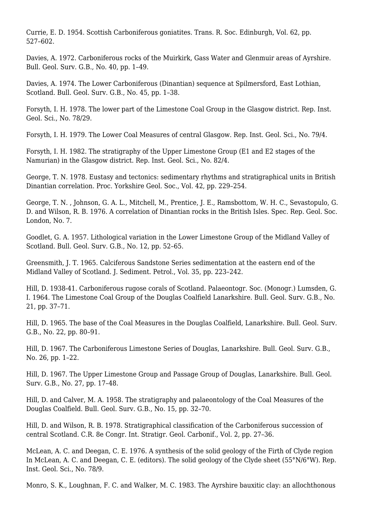Currie, E. D. 1954. Scottish Carboniferous goniatites. Trans. R. Soc. Edinburgh, Vol. 62, pp. 527–602.

Davies, A. 1972. Carboniferous rocks of the Muirkirk, Gass Water and Glenmuir areas of Ayrshire. Bull. Geol. Surv. G.B., No. 40, pp. 1–49.

Davies, A. 1974. The Lower Carboniferous (Dinantian) sequence at Spilmersford, East Lothian, Scotland. Bull. Geol. Surv. G.B., No. 45, pp. 1–38.

Forsyth, I. H. 1978. The lower part of the Limestone Coal Group in the Glasgow district. Rep. Inst. Geol. Sci., No. 78/29.

Forsyth, I. H. 1979. The Lower Coal Measures of central Glasgow. Rep. Inst. Geol. Sci., No. 79/4.

Forsyth, I. H. 1982. The stratigraphy of the Upper Limestone Group (E1 and E2 stages of the Namurian) in the Glasgow district. Rep. Inst. Geol. Sci., No. 82/4.

George, T. N. 1978. Eustasy and tectonics: sedimentary rhythms and stratigraphical units in British Dinantian correlation. Proc. Yorkshire Geol. Soc., Vol. 42, pp. 229–254.

George, T. N. , Johnson, G. A. L., Mitchell, M., Prentice, J. E., Ramsbottom, W. H. C., Sevastopulo, G. D. and Wilson, R. B. 1976. A correlation of Dinantian rocks in the British Isles. Spec. Rep. Geol. Soc. London, No. 7.

Goodlet, G. A. 1957. Lithological variation in the Lower Limestone Group of the Midland Valley of Scotland. Bull. Geol. Surv. G.B., No. 12, pp. 52–65.

Greensmith, J. T. 1965. Calciferous Sandstone Series sedimentation at the eastern end of the Midland Valley of Scotland. J. Sediment. Petrol., Vol. 35, pp. 223–242.

Hill, D. 1938-41. Carboniferous rugose corals of Scotland. Palaeontogr. Soc. (Monogr.) Lumsden, G. I. 1964. The Limestone Coal Group of the Douglas Coalfield Lanarkshire. Bull. Geol. Surv. G.B., No. 21, pp. 37–71.

Hill, D. 1965. The base of the Coal Measures in the Douglas Coalfield, Lanarkshire. Bull. Geol. Surv. G.B., No. 22, pp. 80–91.

Hill, D. 1967. The Carboniferous Limestone Series of Douglas, Lanarkshire. Bull. Geol. Surv. G.B., No. 26, pp. 1–22.

Hill, D. 1967. The Upper Limestone Group and Passage Group of Douglas, Lanarkshire. Bull. Geol. Surv. G.B., No. 27, pp. 17–48.

Hill, D. and Calver, M. A. 1958. The stratigraphy and palaeontology of the Coal Measures of the Douglas Coalfield. Bull. Geol. Surv. G.B., No. 15, pp. 32–70.

Hill, D. and Wilson, R. B. 1978. Stratigraphical classification of the Carboniferous succession of central Scotland. C.R. 8e Congr. Int. Stratigr. Geol. Carbonif., Vol. 2, pp. 27–36.

McLean, A. C. and Deegan, C. E. 1976. A synthesis of the solid geology of the Firth of Clyde region In McLean, A. C. and Deegan, C. E. (editors). The solid geology of the Clyde sheet (55°N/6°W). Rep. Inst. Geol. Sci., No. 78/9.

Monro, S. K., Loughnan, F. C. and Walker, M. C. 1983. The Ayrshire bauxitic clay: an allochthonous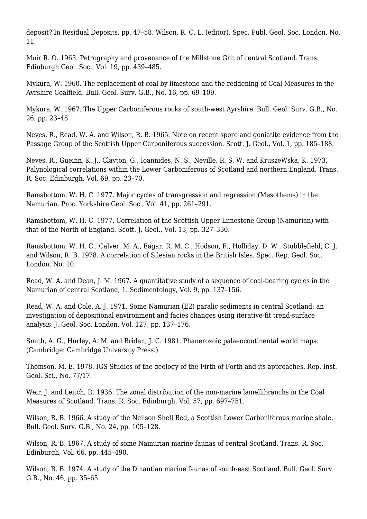deposit? In Residual Deposits, pp. 47–58. Wilson, R. C. L. (editor). Spec. Publ. Geol. Soc. London, No. 11.

Muir R. O. 1963. Petrography and provenance of the Millstone Grit of central Scotland. Trans. Edinburgh Geol. Soc., Vol. 19, pp. 439–485.

Mykura, W. 1960. The replacement of coal by limestone and the reddening of Coal Measures in the Ayrshire Coalfield. Bull. Geol. Surv. G.B., No. 16, pp. 69–109.

Mykura, W. 1967. The Upper Carboniferous rocks of south-west Ayrshire. Bull. Geol. Surv. G.B., No. 26, pp. 23–48.

Neves, R., Read, W. A. and Wilson, R. B. 1965. Note on recent spore and goniatite evidence from the Passage Group of the Scottish Upper Carboniferous succession. Scott. J. Geol., Vol. 1, pp. 185–188.

Neves, R., Gueinn, K. J., Clayton, G., Ioannides, N. S., Neville, R. S. W. and KruszeWska, K. 1973. Palynological correlations within the Lower Carboniferous of Scotland and northern England. Trans. R. Soc. Edinburgh, Vol. 69, pp. 23–70.

Ramsbottom, W. H. C. 1977. Major cycles of transgression and regression (Mesothems) in the Namurian. Proc. Yorkshire Geol. Soc., Vol. 41, pp. 261–291.

Ramsbottom, W. H. C. 1977. Correlation of the Scottish Upper Limestone Group (Namurian) with that of the North of England. Scott. J. Geol., Vol. 13, pp. 327–330.

Ramsbottom, W. H. C., Calver, M. A., Eagar, R. M. C., Hodson, F., Holliday, D. W., Stubblefield, C. J. and Wilson, R. B. 1978. A correlation of Silesian rocks in the British Isles. Spec. Rep. Geol. Soc. London, No. 10.

Read, W. A. and Dean, J. M. 1967. A quantitative study of a sequence of coal-bearing cycles in the Namurian of central Scotland, 1. Sedimentology, Vol. 9, pp. 137–156.

Read, W. A. and Cole, A. J. 1971. Some Namurian (E2) paralic sediments in central Scotland: an investigation of depositional environment and facies changes using iterative-fit trend-surface analysis. J. Geol. Soc. London, Vol. 127, pp. 137–176.

Smith, A. G., Hurley, A. M. and Briden, J. C. 1981. Phanerozoic palaeocontinental world maps. (Cambridge: Cambridge University Press.)

Thomson, M. E. 1978. IGS Studies of the geology of the Firth of Forth and its approaches. Rep. Inst. Geol. Sci., No. 77/17.

Weir, J. and Leitch, D. 1936. The zonal distribution of the non-marine lamellibranchs in the Coal Measures of Scotland. Trans. R. Soc. Edinburgh, Vol. 57, pp. 697–751.

Wilson, R. B. 1966. A study of the Neilson Shell Bed, a Scottish Lower Carboniferous marine shale. Bull. Geol. Surv. G.B., No. 24, pp. 105–128.

Wilson, R. B. 1967. A study of some Namurian marine faunas of central Scotland. Trans. R. Soc. Edinburgh, Vol. 66, pp. 445–490.

Wilson, R. B. 1974. A study of the Dinantian marine faunas of south-east Scotland. Bull. Geol. Surv. G.B., No. 46, pp. 35–65.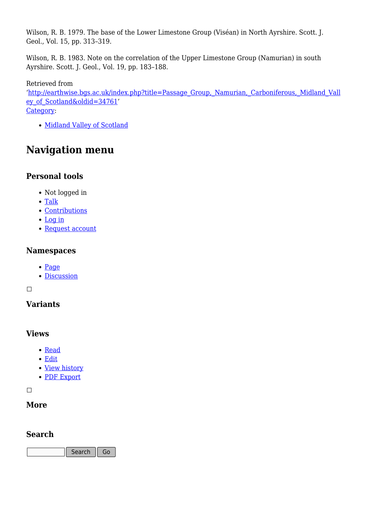Wilson, R. B. 1979. The base of the Lower Limestone Group (Viséan) in North Ayrshire. Scott. J. Geol., Vol. 15, pp. 313–319.

Wilson, R. B. 1983. Note on the correlation of the Upper Limestone Group (Namurian) in south Ayrshire. Scott. J. Geol., Vol. 19, pp. 183–188.

Retrieved from '[http://earthwise.bgs.ac.uk/index.php?title=Passage\\_Group,\\_Namurian,\\_Carboniferous,\\_Midland\\_Vall](http://earthwise.bgs.ac.uk/index.php?title=Passage_Group,_Namurian,_Carboniferous,_Midland_Valley_of_Scotland&oldid=34761) [ey\\_of\\_Scotland&oldid=34761](http://earthwise.bgs.ac.uk/index.php?title=Passage_Group,_Namurian,_Carboniferous,_Midland_Valley_of_Scotland&oldid=34761)' [Category](http://earthwise.bgs.ac.uk/index.php/Special:Categories):

• [Midland Valley of Scotland](http://earthwise.bgs.ac.uk/index.php/Category:Midland_Valley_of_Scotland)

## **Navigation menu**

#### **Personal tools**

- Not logged in
- [Talk](http://earthwise.bgs.ac.uk/index.php/Special:MyTalk)
- [Contributions](http://earthwise.bgs.ac.uk/index.php/Special:MyContributions)
- [Log in](http://earthwise.bgs.ac.uk/index.php?title=Special:UserLogin&returnto=Passage+Group%2C+Namurian%2C+Carboniferous%2C+Midland+Valley+of+Scotland&returntoquery=action%3Dmpdf)
- [Request account](http://earthwise.bgs.ac.uk/index.php/Special:RequestAccount)

#### **Namespaces**

- [Page](http://earthwise.bgs.ac.uk/index.php/Passage_Group,_Namurian,_Carboniferous,_Midland_Valley_of_Scotland)
- [Discussion](http://earthwise.bgs.ac.uk/index.php?title=Talk:Passage_Group,_Namurian,_Carboniferous,_Midland_Valley_of_Scotland&action=edit&redlink=1)

 $\Box$ 

#### **Variants**

#### **Views**

- [Read](http://earthwise.bgs.ac.uk/index.php/Passage_Group,_Namurian,_Carboniferous,_Midland_Valley_of_Scotland)
- [Edit](http://earthwise.bgs.ac.uk/index.php?title=Passage_Group,_Namurian,_Carboniferous,_Midland_Valley_of_Scotland&action=edit)
- [View history](http://earthwise.bgs.ac.uk/index.php?title=Passage_Group,_Namurian,_Carboniferous,_Midland_Valley_of_Scotland&action=history)
- [PDF Export](http://earthwise.bgs.ac.uk/index.php?title=Passage_Group,_Namurian,_Carboniferous,_Midland_Valley_of_Scotland&action=mpdf)

 $\Box$ 

#### **More**

#### **Search**

Search  $\|$  Go